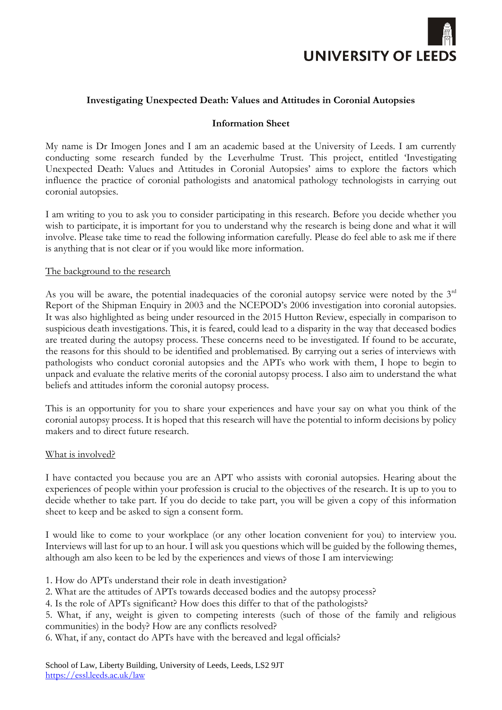

# **Investigating Unexpected Death: Values and Attitudes in Coronial Autopsies**

## **Information Sheet**

My name is Dr Imogen Jones and I am an academic based at the University of Leeds. I am currently conducting some research funded by the Leverhulme Trust. This project, entitled 'Investigating Unexpected Death: Values and Attitudes in Coronial Autopsies' aims to explore the factors which influence the practice of coronial pathologists and anatomical pathology technologists in carrying out coronial autopsies.

I am writing to you to ask you to consider participating in this research. Before you decide whether you wish to participate, it is important for you to understand why the research is being done and what it will involve. Please take time to read the following information carefully. Please do feel able to ask me if there is anything that is not clear or if you would like more information.

## The background to the research

As you will be aware, the potential inadequacies of the coronial autopsy service were noted by the 3<sup>rd</sup> Report of the Shipman Enquiry in 2003 and the NCEPOD's 2006 investigation into coronial autopsies. It was also highlighted as being under resourced in the 2015 Hutton Review, especially in comparison to suspicious death investigations. This, it is feared, could lead to a disparity in the way that deceased bodies are treated during the autopsy process. These concerns need to be investigated. If found to be accurate, the reasons for this should to be identified and problematised. By carrying out a series of interviews with pathologists who conduct coronial autopsies and the APTs who work with them, I hope to begin to unpack and evaluate the relative merits of the coronial autopsy process. I also aim to understand the what beliefs and attitudes inform the coronial autopsy process.

This is an opportunity for you to share your experiences and have your say on what you think of the coronial autopsy process. It is hoped that this research will have the potential to inform decisions by policy makers and to direct future research.

#### What is involved?

I have contacted you because you are an APT who assists with coronial autopsies. Hearing about the experiences of people within your profession is crucial to the objectives of the research. It is up to you to decide whether to take part. If you do decide to take part, you will be given a copy of this information sheet to keep and be asked to sign a consent form.

I would like to come to your workplace (or any other location convenient for you) to interview you. Interviews will last for up to an hour. I will ask you questions which will be guided by the following themes, although am also keen to be led by the experiences and views of those I am interviewing:

- 1. How do APTs understand their role in death investigation?
- 2. What are the attitudes of APTs towards deceased bodies and the autopsy process?
- 4. Is the role of APTs significant? How does this differ to that of the pathologists?

5. What, if any, weight is given to competing interests (such of those of the family and religious communities) in the body? How are any conflicts resolved?

6. What, if any, contact do APTs have with the bereaved and legal officials?